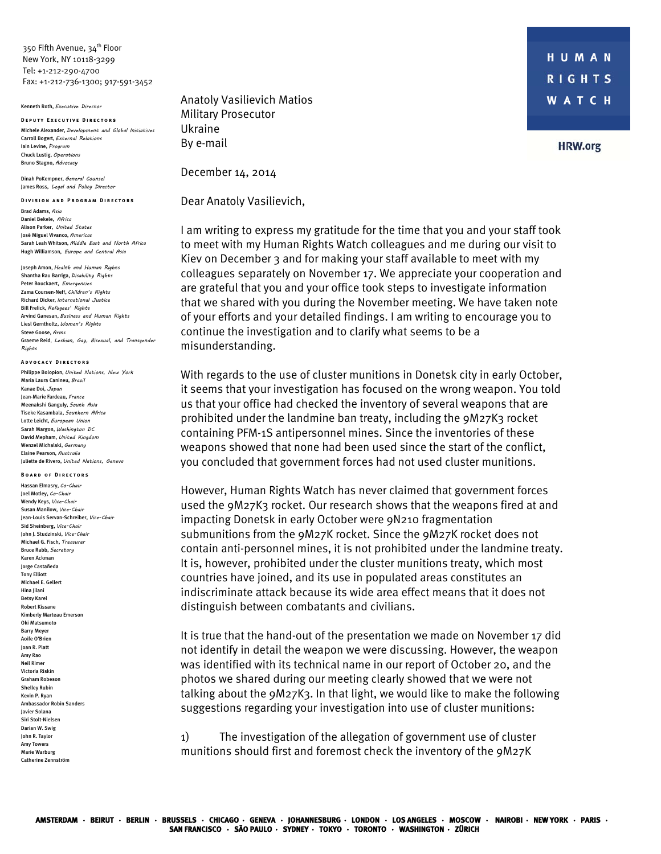350 Fifth Avenue, 34<sup>th</sup> Floor New York, NY 10118-3299 Tel: +1-212-290-4700 Fax: +1-212-736-1300; 917-591-3452

## Kenneth Roth, Executive Director

**Deputy Executive Directors**  Michele Alexander, Development and Global Initiatives Carroll Bogert, External Relations Iain Levine, Program Chuck Lustig, Operations Bruno Stagno, Advocacy

Dinah PoKempner, General Counsel James Ross, Legal and Policy Director

**Division and Program Directors**  Brad Adams, Asia Daniel Bekele, Africa Alison Parker, United States José Miguel Vivanco, Americas Sarah Leah Whitson, Middle East and North Africa Hugh Williamson, Europe and Central Asia

Joseph Amon, Health and Human Rights Shantha Rau Barriga, Disability Rights Peter Bouckaert, Emergencies Zama Coursen-Neff, Children's Rights Richard Dicker, International Justice Bill Frelick, Refugees' Rights Arvind Ganesan, Business and Human Rights Liesl Gerntholtz, Women's Rights Steve Goose, Arms Graeme Reid, Lesbian, Gay, Bisexual, and Transgender Rights

## **Advocacy Directors**

Philippe Bolopion, United Nations, New York Maria Laura Canineu, Brazil Kanae Doi, Japan Jean-Marie Fardeau, France Meenakshi Ganguly, South Asia Tiseke Kasambala, Southern Africa Lotte Leicht, European Union Sarah Margon, Washington DC David Mepham, United Kingdom Wenzel Michalski, Germany Elaine Pearson, Australia Juliette de Rivero, United Nations, Geneva

## **Board of Directors**

Hassan Elmasry, Co-Chair Joel Motley, Co-Chair Wendy Keys, Vice-Chair Susan Manilow, Vice-Chair Jean-Louis Servan-Schreiber, Vice-Chair Sid Sheinberg, Vice-Chair John J. Studzinski, Vice-Chair Michael G. Fisch, Treasurer Bruce Rabb, Secretary Karen Ackman Jorge Castañeda Tony Elliott Michael E. Gellert Hina Jilani Betsy Karel Robert Kissane Kimberly Marteau Emerson Oki Matsumoto Barry Meyer Aoife O'Brien Joan R. Platt Amy Rao Neil Rimer Victoria Riskin Graham Robeson Shelley Rubin Kevin P. Ryan Ambassador Robin Sanders Javier Solana Siri Stolt-Nielsen Darian W. Swig John R. Taylor Amy Towers Marie Warburg Catherine Zennström

Anatoly Vasilievich Matios Military Prosecutor Ukraine By e-mail

December 14, 2014

Dear Anatoly Vasilievich,

I am writing to express my gratitude for the time that you and your staff took to meet with my Human Rights Watch colleagues and me during our visit to Kiev on December 3 and for making your staff available to meet with my colleagues separately on November 17. We appreciate your cooperation and are grateful that you and your office took steps to investigate information that we shared with you during the November meeting. We have taken note of your efforts and your detailed findings. I am writing to encourage you to continue the investigation and to clarify what seems to be a misunderstanding.

With regards to the use of cluster munitions in Donetsk city in early October, it seems that your investigation has focused on the wrong weapon. You told us that your office had checked the inventory of several weapons that are prohibited under the landmine ban treaty, including the 9M27K3 rocket containing PFM-1S antipersonnel mines. Since the inventories of these weapons showed that none had been used since the start of the conflict, you concluded that government forces had not used cluster munitions.

However, Human Rights Watch has never claimed that government forces used the 9M27K3 rocket. Our research shows that the weapons fired at and impacting Donetsk in early October were 9N210 fragmentation submunitions from the 9M27K rocket. Since the 9M27K rocket does not contain anti-personnel mines, it is not prohibited under the landmine treaty. It is, however, prohibited under the cluster munitions treaty, which most countries have joined, and its use in populated areas constitutes an indiscriminate attack because its wide area effect means that it does not distinguish between combatants and civilians.

It is true that the hand-out of the presentation we made on November 17 did not identify in detail the weapon we were discussing. However, the weapon was identified with its technical name in our report of October 20, and the photos we shared during our meeting clearly showed that we were not talking about the 9M27K3. In that light, we would like to make the following suggestions regarding your investigation into use of cluster munitions:

1) The investigation of the allegation of government use of cluster munitions should first and foremost check the inventory of the 9M27K

**HRW.org**